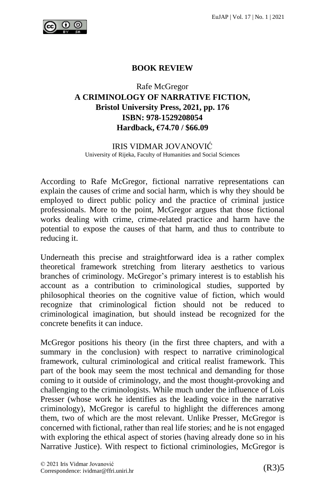

## **BOOK REVIEW**

Rafe McGregor

## **A CRIMINOLOGY OF NARRATIVE FICTION, Bristol University Press, 2021, pp. 176 ISBN: 978-1529208054 Hardback, €74.70 / \$66.09**

IRIS VIDMAR JOVANOVIĆ University of Rijeka, Faculty of Humanities and Social Sciences

According to Rafe McGregor, fictional narrative representations can explain the causes of crime and social harm, which is why they should be employed to direct public policy and the practice of criminal justice professionals. More to the point, McGregor argues that those fictional works dealing with crime, crime-related practice and harm have the potential to expose the causes of that harm, and thus to contribute to reducing it.

Underneath this precise and straightforward idea is a rather complex theoretical framework stretching from literary aesthetics to various branches of criminology. McGregor's primary interest is to establish his account as a contribution to criminological studies, supported by philosophical theories on the cognitive value of fiction, which would recognize that criminological fiction should not be reduced to criminological imagination, but should instead be recognized for the concrete benefits it can induce.

McGregor positions his theory (in the first three chapters, and with a summary in the conclusion) with respect to narrative criminological framework, cultural criminological and critical realist framework. This part of the book may seem the most technical and demanding for those coming to it outside of criminology, and the most thought-provoking and challenging to the criminologists. While much under the influence of Lois Presser (whose work he identifies as the leading voice in the narrative criminology), McGregor is careful to highlight the differences among them, two of which are the most relevant. Unlike Presser, McGregor is concerned with fictional, rather than real life stories; and he is not engaged with exploring the ethical aspect of stories (having already done so in his Narrative Justice). With respect to fictional criminologies, McGregor is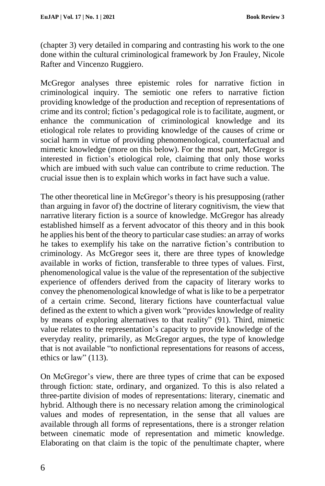(chapter 3) very detailed in comparing and contrasting his work to the one done within the cultural criminological framework by Jon Frauley, Nicole Rafter and Vincenzo Ruggiero.

McGregor analyses three epistemic roles for narrative fiction in criminological inquiry. The semiotic one refers to narrative fiction providing knowledge of the production and reception of representations of crime and its control; fiction's pedagogical role is to facilitate, augment, or enhance the communication of criminological knowledge and its etiological role relates to providing knowledge of the causes of crime or social harm in virtue of providing phenomenological, counterfactual and mimetic knowledge (more on this below). For the most part, McGregor is interested in fiction's etiological role, claiming that only those works which are imbued with such value can contribute to crime reduction. The crucial issue then is to explain which works in fact have such a value.

The other theoretical line in McGregor's theory is his presupposing (rather than arguing in favor of) the doctrine of literary cognitivism, the view that narrative literary fiction is a source of knowledge. McGregor has already established himself as a fervent advocator of this theory and in this book he applies his bent of the theory to particular case studies: an array of works he takes to exemplify his take on the narrative fiction's contribution to criminology. As McGregor sees it, there are three types of knowledge available in works of fiction, transferable to three types of values. First, phenomenological value is the value of the representation of the subjective experience of offenders derived from the capacity of literary works to convey the phenomenological knowledge of what is like to be a perpetrator of a certain crime. Second, literary fictions have counterfactual value defined as the extent to which a given work "provides knowledge of reality by means of exploring alternatives to that reality" (91). Third, mimetic value relates to the representation's capacity to provide knowledge of the everyday reality, primarily, as McGregor argues, the type of knowledge that is not available "to nonfictional representations for reasons of access, ethics or law" (113).

On McGregor's view, there are three types of crime that can be exposed through fiction: state, ordinary, and organized. To this is also related a three-partite division of modes of representations: literary, cinematic and hybrid. Although there is no necessary relation among the criminological values and modes of representation, in the sense that all values are available through all forms of representations, there is a stronger relation between cinematic mode of representation and mimetic knowledge. Elaborating on that claim is the topic of the penultimate chapter, where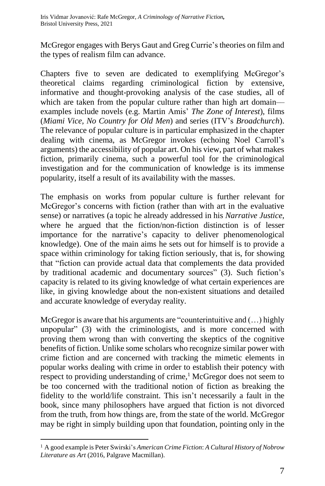McGregor engages with Berys Gaut and Greg Currie's theories on film and the types of realism film can advance.

Chapters five to seven are dedicated to exemplifying McGregor's theoretical claims regarding criminological fiction by extensive, informative and thought-provoking analysis of the case studies, all of which are taken from the popular culture rather than high art domain examples include novels (e.g. Martin Amis' *The Zone of Interest*), films (*Miami Vice, No Country for Old Men*) and series (ITV's *Broadchurch*). The relevance of popular culture is in particular emphasized in the chapter dealing with cinema, as McGregor invokes (echoing Noel Carroll's arguments) the accessibility of popular art. On his view, part of what makes fiction, primarily cinema, such a powerful tool for the criminological investigation and for the communication of knowledge is its immense popularity, itself a result of its availability with the masses.

The emphasis on works from popular culture is further relevant for McGregor's concerns with fiction (rather than with art in the evaluative sense) or narratives (a topic he already addressed in his *Narrative Justice*, where he argued that the fiction/non-fiction distinction is of lesser importance for the narrative's capacity to deliver phenomenological knowledge). One of the main aims he sets out for himself is to provide a space within criminology for taking fiction seriously, that is, for showing that "fiction can provide actual data that complements the data provided by traditional academic and documentary sources" (3). Such fiction's capacity is related to its giving knowledge of what certain experiences are like, in giving knowledge about the non-existent situations and detailed and accurate knowledge of everyday reality.

McGregor is aware that his arguments are "counterintuitive and (…) highly unpopular" (3) with the criminologists, and is more concerned with proving them wrong than with converting the skeptics of the cognitive benefits of fiction. Unlike some scholars who recognize similar power with crime fiction and are concerned with tracking the mimetic elements in popular works dealing with crime in order to establish their potency with respect to providing understanding of crime,<sup>1</sup> McGregor does not seem to be too concerned with the traditional notion of fiction as breaking the fidelity to the world/life constraint. This isn't necessarily a fault in the book, since many philosophers have argued that fiction is not divorced from the truth, from how things are, from the state of the world. McGregor may be right in simply building upon that foundation, pointing only in the

 $\overline{a}$ 

<sup>1</sup> A good example is Peter Swirski's *American Crime Fiction*: *A Cultural History of Nobrow Literature as Art* (2016, Palgrave Macmillan).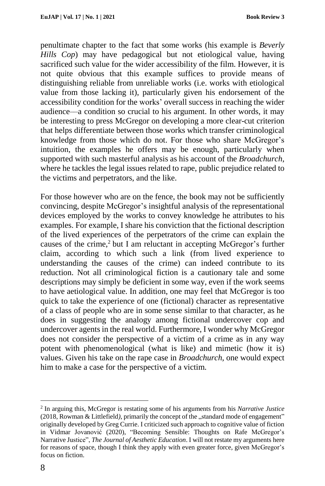penultimate chapter to the fact that some works (his example is *Beverly Hills Cop*) may have pedagogical but not etiological value, having sacrificed such value for the wider accessibility of the film. However, it is not quite obvious that this example suffices to provide means of distinguishing reliable from unreliable works (i.e. works with etiological value from those lacking it), particularly given his endorsement of the accessibility condition for the works' overall success in reaching the wider audience––a condition so crucial to his argument. In other words, it may be interesting to press McGregor on developing a more clear-cut criterion that helps differentiate between those works which transfer criminological knowledge from those which do not. For those who share McGregor's intuition, the examples he offers may be enough, particularly when supported with such masterful analysis as his account of the *Broadchurch*, where he tackles the legal issues related to rape, public prejudice related to the victims and perpetrators, and the like.

For those however who are on the fence, the book may not be sufficiently convincing, despite McGregor's insightful analysis of the representational devices employed by the works to convey knowledge he attributes to his examples. For example, I share his conviction that the fictional description of the lived experiences of the perpetrators of the crime can explain the causes of the crime,<sup>2</sup> but I am reluctant in accepting McGregor's further claim, according to which such a link (from lived experience to understanding the causes of the crime) can indeed contribute to its reduction. Not all criminological fiction is a cautionary tale and some descriptions may simply be deficient in some way, even if the work seems to have aetiological value. In addition, one may feel that McGregor is too quick to take the experience of one (fictional) character as representative of a class of people who are in some sense similar to that character, as he does in suggesting the analogy among fictional undercover cop and undercover agents in the real world. Furthermore, I wonder why McGregor does not consider the perspective of a victim of a crime as in any way potent with phenomenological (what is like) and mimetic (how it is) values. Given his take on the rape case in *Broadchurch*, one would expect him to make a case for the perspective of a victim.

 $\overline{a}$ 

<sup>2</sup> In arguing this, McGregor is restating some of his arguments from his *Narrative Justice* (2018, Rowman & Littlefield), primarily the concept of the "standard mode of engagement" originally developed by Greg Currie. I criticized such approach to cognitive value of fiction in Vidmar Jovanović (2020), "Becoming Sensible: Thoughts on Rafe McGregor's Narrative Justice", *The Journal of Aesthetic Education*. I will not restate my arguments here for reasons of space, though I think they apply with even greater force, given McGregor's focus on fiction.